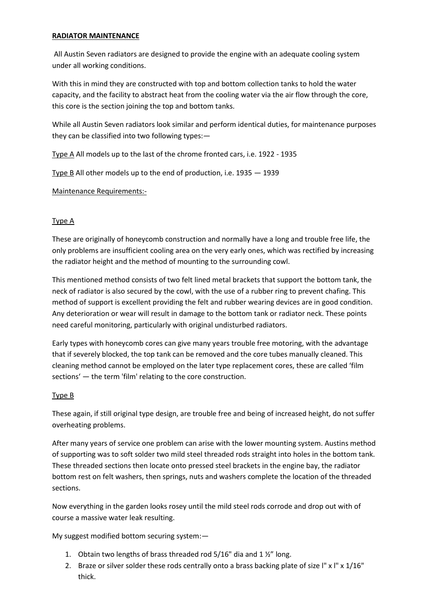## **RADIATOR MAINTENANCE**

All Austin Seven radiators are designed to provide the engine with an adequate cooling system under all working conditions.

With this in mind they are constructed with top and bottom collection tanks to hold the water capacity, and the facility to abstract heat from the cooling water via the air flow through the core, this core is the section joining the top and bottom tanks.

While all Austin Seven radiators look similar and perform identical duties, for maintenance purposes they can be classified into two following types:—

Type A All models up to the last of the chrome fronted cars, i.e. 1922 - 1935

Type B All other models up to the end of production, i.e. 1935 — 1939

Maintenance Requirements:-

## Type A

These are originally of honeycomb construction and normally have a long and trouble free life, the only problems are insufficient cooling area on the very early ones, which was rectified by increasing the radiator height and the method of mounting to the surrounding cowl.

This mentioned method consists of two felt lined metal brackets that support the bottom tank, the neck of radiator is also secured by the cowl, with the use of a rubber ring to prevent chafing. This method of support is excellent providing the felt and rubber wearing devices are in good condition. Any deterioration or wear will result in damage to the bottom tank or radiator neck. These points need careful monitoring, particularly with original undisturbed radiators.

Early types with honeycomb cores can give many years trouble free motoring, with the advantage that if severely blocked, the top tank can be removed and the core tubes manually cleaned. This cleaning method cannot be employed on the later type replacement cores, these are called 'film sections' — the term 'film' relating to the core construction.

## Type B

These again, if still original type design, are trouble free and being of increased height, do not suffer overheating problems.

After many years of service one problem can arise with the lower mounting system. Austins method of supporting was to soft solder two mild steel threaded rods straight into holes in the bottom tank. These threaded sections then locate onto pressed steel brackets in the engine bay, the radiator bottom rest on felt washers, then springs, nuts and washers complete the location of the threaded sections.

Now everything in the garden looks rosey until the mild steel rods corrode and drop out with of course a massive water leak resulting.

My suggest modified bottom securing system:—

- 1. Obtain two lengths of brass threaded rod  $5/16"$  dia and  $1\frac{1}{2}$ " long.
- 2. Braze or silver solder these rods centrally onto a brass backing plate of size l" x l" x 1/16" thick.